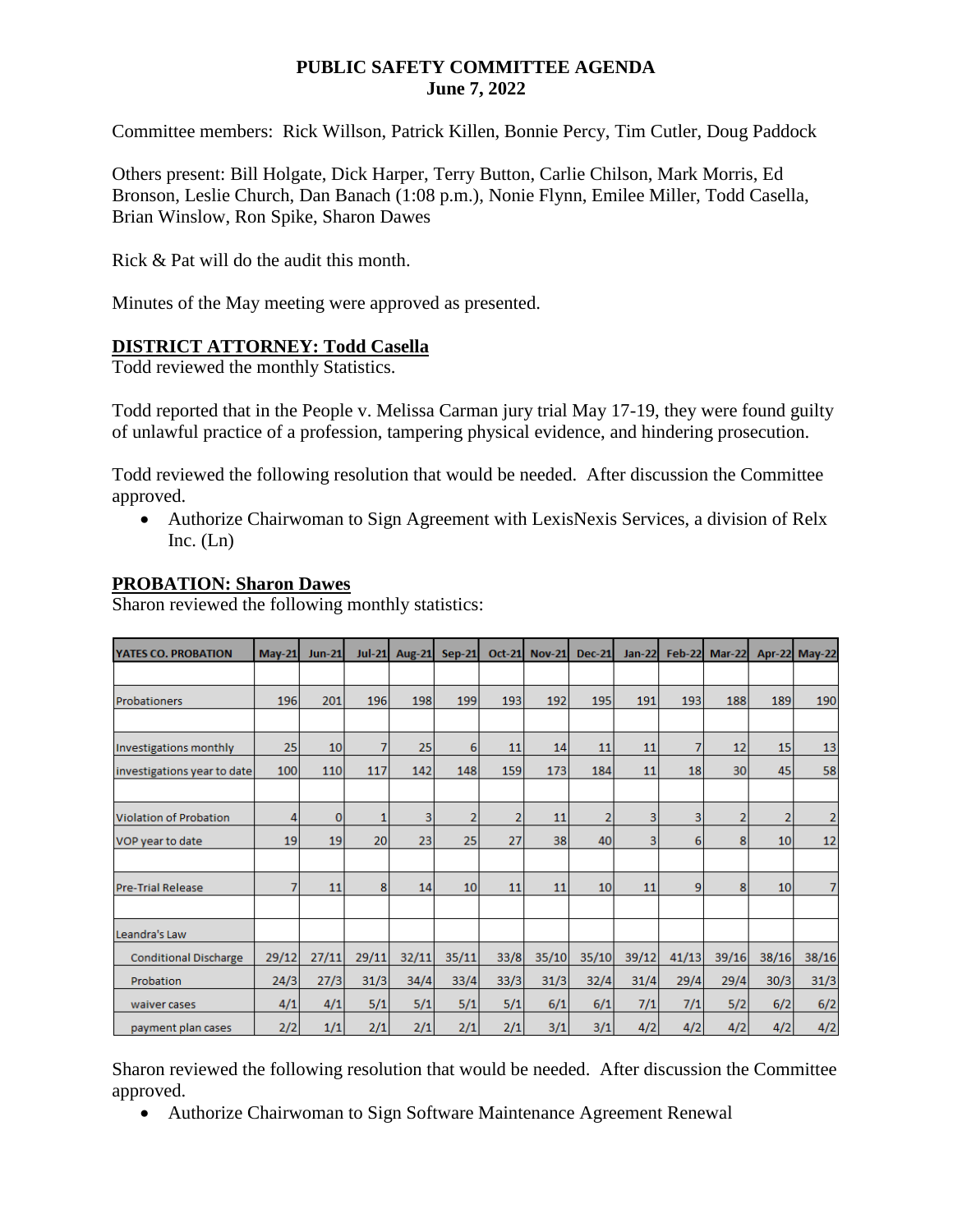## **PUBLIC SAFETY COMMITTEE AGENDA June 7, 2022**

Committee members: Rick Willson, Patrick Killen, Bonnie Percy, Tim Cutler, Doug Paddock

Others present: Bill Holgate, Dick Harper, Terry Button, Carlie Chilson, Mark Morris, Ed Bronson, Leslie Church, Dan Banach (1:08 p.m.), Nonie Flynn, Emilee Miller, Todd Casella, Brian Winslow, Ron Spike, Sharon Dawes

Rick & Pat will do the audit this month.

Minutes of the May meeting were approved as presented.

## **DISTRICT ATTORNEY: Todd Casella**

Todd reviewed the monthly Statistics.

Todd reported that in the People v. Melissa Carman jury trial May 17-19, they were found guilty of unlawful practice of a profession, tampering physical evidence, and hindering prosecution.

Todd reviewed the following resolution that would be needed. After discussion the Committee approved.

 Authorize Chairwoman to Sign Agreement with LexisNexis Services, a division of Relx Inc.  $(Ln)$ 

## **PROBATION: Sharon Dawes**

Sharon reviewed the following monthly statistics:

| <b>YATES CO. PROBATION</b>   | <b>May-21</b> | <b>Jun-21</b>   | $Jul-21$       | <b>Aug-21</b> | <b>Sep-21</b>   | <b>Oct-21</b>  | <b>Nov-21</b> | <b>Dec-21</b>  | $Jan-22$ | <b>Feb-22</b>  | Mar-22         |                | Apr-22 May-22  |
|------------------------------|---------------|-----------------|----------------|---------------|-----------------|----------------|---------------|----------------|----------|----------------|----------------|----------------|----------------|
|                              |               |                 |                |               |                 |                |               |                |          |                |                |                |                |
| <b>Probationers</b>          | 196           | 201             | 196            | 198           | 199             | 193            | 192           | 195            | 191      | 193            | 188            | 189            | 190            |
|                              |               |                 |                |               |                 |                |               |                |          |                |                |                |                |
| Investigations monthly       | 25            | 10 <sup>1</sup> | 7              | 25            | 6               | 11             | 14            | 11             | 11       | 7              | 12             | 15             | 13             |
| investigations year to date  | 100           | 110             | 117            | 142           | 148             | 159            | 173           | 184            | 11       | 18             | 30             | 45             | 58             |
|                              |               |                 |                |               |                 |                |               |                |          |                |                |                |                |
| Violation of Probation       | 4             | $\overline{0}$  |                | 3             | 2               | $\overline{2}$ | 11            | $\overline{2}$ | 3        | 3              | $\overline{2}$ | $\overline{2}$ | $\overline{2}$ |
| VOP year to date             | 19            | 19              | 20             | 23            | 25              | 27             | 38            | 40             | 3        | 6              | 8              | 10             | 12             |
|                              |               |                 |                |               |                 |                |               |                |          |                |                |                |                |
| <b>Pre-Trial Release</b>     | 7             | 11              | 8 <sup>1</sup> | 14            | 10 <sup>1</sup> | 11             | 11            | 10             | 11       | $\overline{9}$ | 8              | 10             | 7              |
|                              |               |                 |                |               |                 |                |               |                |          |                |                |                |                |
| Leandra's Law                |               |                 |                |               |                 |                |               |                |          |                |                |                |                |
| <b>Conditional Discharge</b> | 29/12         | 27/11           | 29/11          | 32/11         | 35/11           | 33/8           | 35/10         | 35/10          | 39/12    | 41/13          | 39/16          | 38/16          | 38/16          |
| Probation                    | 24/3          | 27/3            | 31/3           | 34/4          | 33/4            | 33/3           | 31/3          | 32/4           | 31/4     | 29/4           | 29/4           | 30/3           | 31/3           |
| waiver cases                 | 4/1           | 4/1             | 5/1            | 5/1           | 5/1             | 5/1            | 6/1           | 6/1            | 7/1      | 7/1            | 5/2            | 6/2            | 6/2            |
| payment plan cases           | 2/2           | 1/1             | 2/1            | 2/1           | 2/1             | 2/1            | 3/1           | 3/1            | 4/2      | 4/2            | 4/2            | 4/2            | 4/2            |

Sharon reviewed the following resolution that would be needed. After discussion the Committee approved.

Authorize Chairwoman to Sign Software Maintenance Agreement Renewal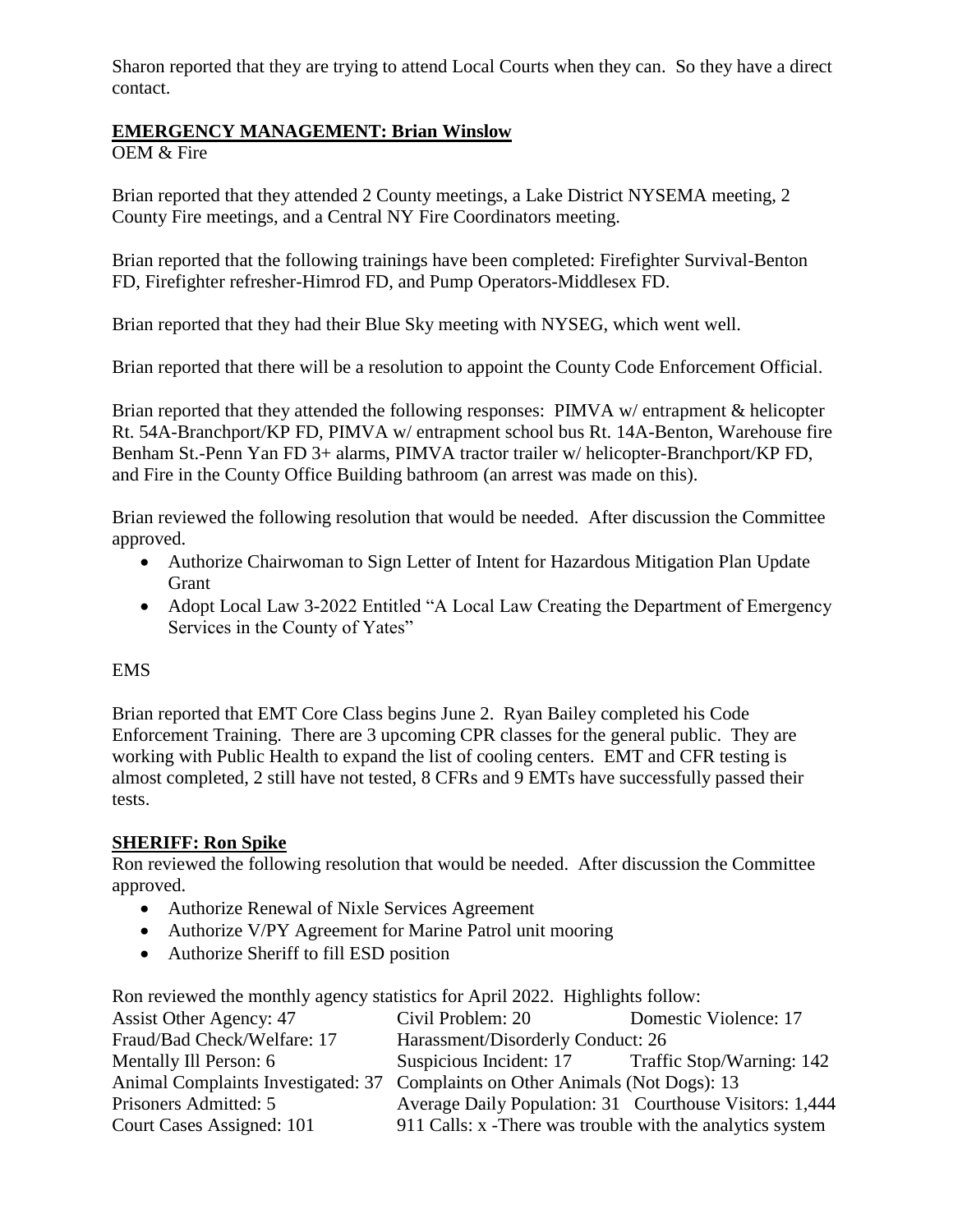Sharon reported that they are trying to attend Local Courts when they can. So they have a direct contact.

# **EMERGENCY MANAGEMENT: Brian Winslow**

OEM & Fire

Brian reported that they attended 2 County meetings, a Lake District NYSEMA meeting, 2 County Fire meetings, and a Central NY Fire Coordinators meeting.

Brian reported that the following trainings have been completed: Firefighter Survival-Benton FD, Firefighter refresher-Himrod FD, and Pump Operators-Middlesex FD.

Brian reported that they had their Blue Sky meeting with NYSEG, which went well.

Brian reported that there will be a resolution to appoint the County Code Enforcement Official.

Brian reported that they attended the following responses: PIMVA w/ entrapment & helicopter Rt. 54A-Branchport/KP FD, PIMVA w/ entrapment school bus Rt. 14A-Benton, Warehouse fire Benham St.-Penn Yan FD 3+ alarms, PIMVA tractor trailer w/ helicopter-Branchport/KP FD, and Fire in the County Office Building bathroom (an arrest was made on this).

Brian reviewed the following resolution that would be needed. After discussion the Committee approved.

- Authorize Chairwoman to Sign Letter of Intent for Hazardous Mitigation Plan Update **Grant**
- Adopt Local Law 3-2022 Entitled "A Local Law Creating the Department of Emergency Services in the County of Yates"

## EMS

Brian reported that EMT Core Class begins June 2. Ryan Bailey completed his Code Enforcement Training. There are 3 upcoming CPR classes for the general public. They are working with Public Health to expand the list of cooling centers. EMT and CFR testing is almost completed, 2 still have not tested, 8 CFRs and 9 EMTs have successfully passed their tests.

## **SHERIFF: Ron Spike**

Ron reviewed the following resolution that would be needed. After discussion the Committee approved.

- Authorize Renewal of Nixle Services Agreement
- Authorize V/PY Agreement for Marine Patrol unit mooring
- Authorize Sheriff to fill ESD position

Ron reviewed the monthly agency statistics for April 2022. Highlights follow:

| Assist Other Agency: 47                                                       | Civil Problem: 20                                         | Domestic Violence: 17 |
|-------------------------------------------------------------------------------|-----------------------------------------------------------|-----------------------|
| Fraud/Bad Check/Welfare: 17                                                   | Harassment/Disorderly Conduct: 26                         |                       |
| Mentally Ill Person: 6                                                        | Suspicious Incident: 17 Traffic Stop/Warning: 142         |                       |
| Animal Complaints Investigated: 37 Complaints on Other Animals (Not Dogs): 13 |                                                           |                       |
| Prisoners Admitted: 5                                                         | Average Daily Population: 31 Courthouse Visitors: 1,444   |                       |
| Court Cases Assigned: 101                                                     | 911 Calls: x -There was trouble with the analytics system |                       |